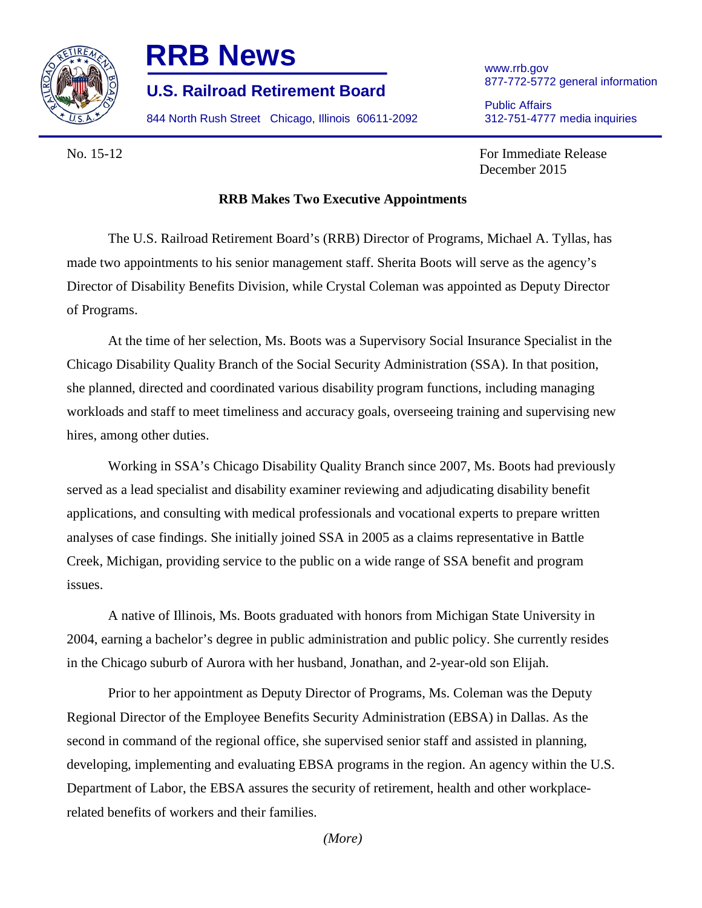

## **RRB News** www.rrb.gov

877-772-5772 general information **U.S. Railroad Retirement Board** 

844 North Rush Street Chicago, Illinois 60611-2092 312-751-4777 media inquiries

Public Affairs<br>312-751-4777 media inquiries

For Immediate Release December 2015

## **RRB Makes Two Executive Appointments**

 Director of Disability Benefits Division, while Crystal Coleman was appointed as Deputy Director The U.S. Railroad Retirement Board's (RRB) Director of Programs, Michael A. Tyllas, has made two appointments to his senior management staff. Sherita Boots will serve as the agency's of Programs.

At the time of her selection, Ms. Boots was a Supervisory Social Insurance Specialist in the Chicago Disability Quality Branch of the Social Security Administration (SSA). In that position, she planned, directed and coordinated various disability program functions, including managing workloads and staff to meet timeliness and accuracy goals, overseeing training and supervising new hires, among other duties.

 Working in SSA's Chicago Disability Quality Branch since 2007, Ms. Boots had previously served as a lead specialist and disability examiner reviewing and adjudicating disability benefit applications, and consulting with medical professionals and vocational experts to prepare written analyses of case findings. She initially joined SSA in 2005 as a claims representative in Battle Creek, Michigan, providing service to the public on a wide range of SSA benefit and program issues.

A native of Illinois, Ms. Boots graduated with honors from Michigan State University in 2004, earning a bachelor's degree in public administration and public policy. She currently resides in the Chicago suburb of Aurora with her husband, Jonathan, and 2-year-old son Elijah.

 Regional Director of the Employee Benefits Security Administration (EBSA) in Dallas. As the Prior to her appointment as Deputy Director of Programs, Ms. Coleman was the Deputy second in command of the regional office, she supervised senior staff and assisted in planning, developing, implementing and evaluating EBSA programs in the region. An agency within the U.S. Department of Labor, the EBSA assures the security of retirement, health and other workplacerelated benefits of workers and their families.

*(More)* 

No. 15-12